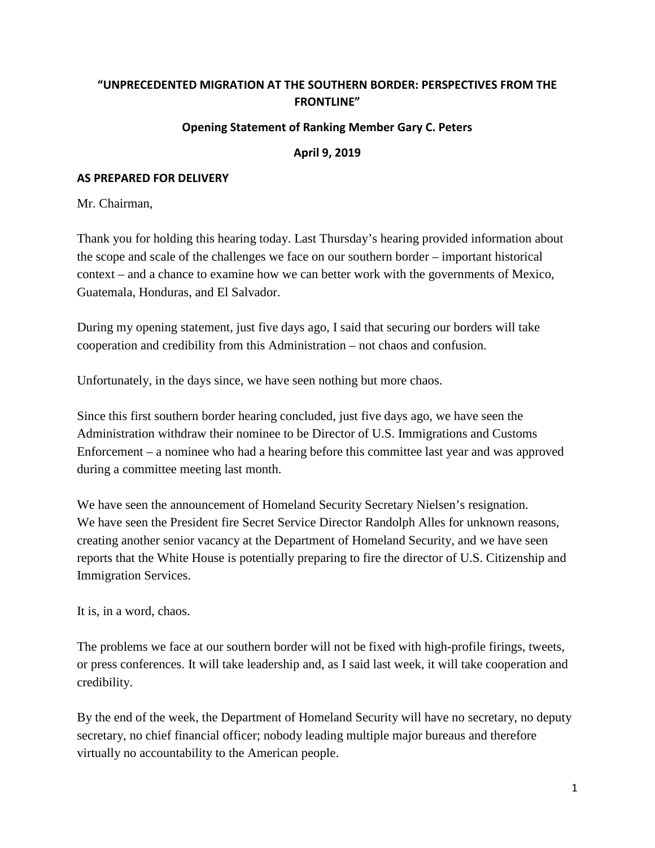## **"UNPRECEDENTED MIGRATION AT THE SOUTHERN BORDER: PERSPECTIVES FROM THE FRONTLINE"**

## **Opening Statement of Ranking Member Gary C. Peters**

## **April 9, 2019**

## **AS PREPARED FOR DELIVERY**

Mr. Chairman,

Thank you for holding this hearing today. Last Thursday's hearing provided information about the scope and scale of the challenges we face on our southern border – important historical context – and a chance to examine how we can better work with the governments of Mexico, Guatemala, Honduras, and El Salvador.

During my opening statement, just five days ago, I said that securing our borders will take cooperation and credibility from this Administration – not chaos and confusion.

Unfortunately, in the days since, we have seen nothing but more chaos.

Since this first southern border hearing concluded, just five days ago, we have seen the Administration withdraw their nominee to be Director of U.S. Immigrations and Customs Enforcement – a nominee who had a hearing before this committee last year and was approved during a committee meeting last month.

We have seen the announcement of Homeland Security Secretary Nielsen's resignation. We have seen the President fire Secret Service Director Randolph Alles for unknown reasons, creating another senior vacancy at the Department of Homeland Security, and we have seen reports that the White House is potentially preparing to fire the director of U.S. Citizenship and Immigration Services.

It is, in a word, chaos.

The problems we face at our southern border will not be fixed with high-profile firings, tweets, or press conferences. It will take leadership and, as I said last week, it will take cooperation and credibility.

By the end of the week, the Department of Homeland Security will have no secretary, no deputy secretary, no chief financial officer; nobody leading multiple major bureaus and therefore virtually no accountability to the American people.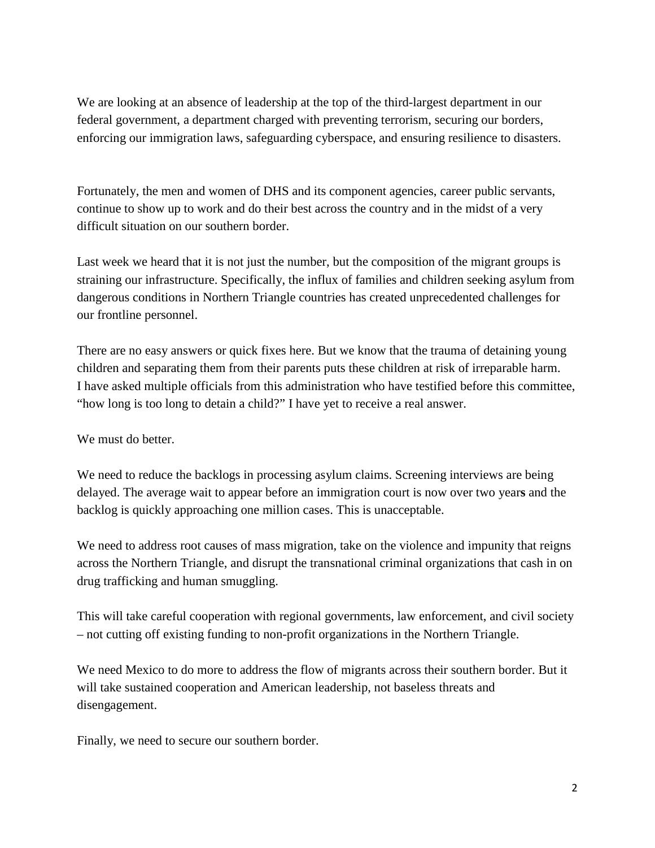We are looking at an absence of leadership at the top of the third-largest department in our federal government, a department charged with preventing terrorism, securing our borders, enforcing our immigration laws, safeguarding cyberspace, and ensuring resilience to disasters.

Fortunately, the men and women of DHS and its component agencies, career public servants, continue to show up to work and do their best across the country and in the midst of a very difficult situation on our southern border.

Last week we heard that it is not just the number, but the composition of the migrant groups is straining our infrastructure. Specifically, the influx of families and children seeking asylum from dangerous conditions in Northern Triangle countries has created unprecedented challenges for our frontline personnel.

There are no easy answers or quick fixes here. But we know that the trauma of detaining young children and separating them from their parents puts these children at risk of irreparable harm. I have asked multiple officials from this administration who have testified before this committee, "how long is too long to detain a child?" I have yet to receive a real answer.

We must do better.

We need to reduce the backlogs in processing asylum claims. Screening interviews are being delayed. The average wait to appear before an immigration court is now over two year**s** and the backlog is quickly approaching one million cases. This is unacceptable.

We need to address root causes of mass migration, take on the violence and impunity that reigns across the Northern Triangle, and disrupt the transnational criminal organizations that cash in on drug trafficking and human smuggling.

This will take careful cooperation with regional governments, law enforcement, and civil society – not cutting off existing funding to non-profit organizations in the Northern Triangle.

We need Mexico to do more to address the flow of migrants across their southern border. But it will take sustained cooperation and American leadership, not baseless threats and disengagement.

Finally, we need to secure our southern border.